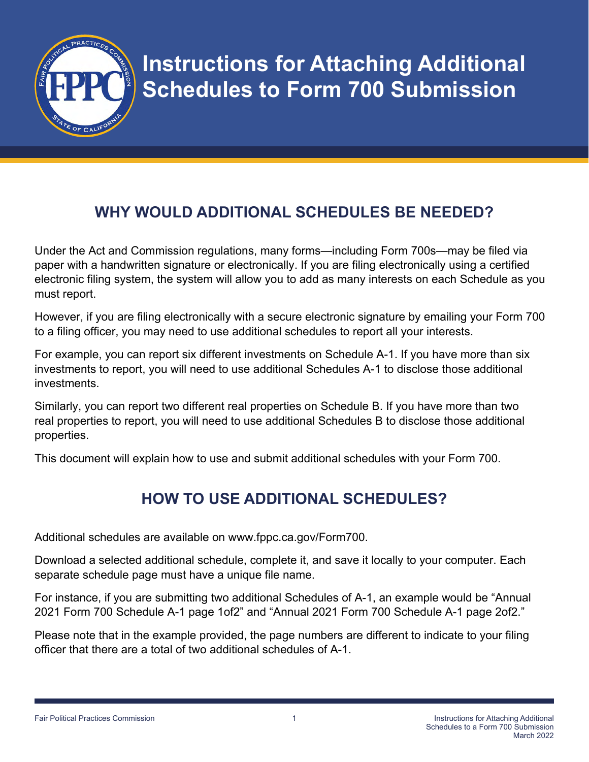

## **WHY WOULD ADDITIONAL SCHEDULES BE NEEDED?**

Under the Act and Commission regulations, many forms—including Form 700s—may be filed via paper with a handwritten signature or electronically. If you are filing electronically using a certified electronic filing system, the system will allow you to add as many interests on each Schedule as you must report.

However, if you are filing electronically with a secure electronic signature by emailing your Form 700 to a filing officer, you may need to use additional schedules to report all your interests.

For example, you can report six different investments on Schedule A-1. If you have more than six investments to report, you will need to use additional Schedules A-1 to disclose those additional investments.

Similarly, you can report two different real properties on Schedule B. If you have more than two real properties to report, you will need to use additional Schedules B to disclose those additional properties.

This document will explain how to use and submit additional schedules with your Form 700.

## **HOW TO USE ADDITIONAL SCHEDULES?**

Additional schedules are available on www.fppc.ca.gov/Form700.

Download a selected additional schedule, complete it, and save it locally to your computer. Each separate schedule page must have a unique file name.

For instance, if you are submitting two additional Schedules of A-1, an example would be "Annual 2021 Form 700 Schedule A-1 page 1of2" and "Annual 2021 Form 700 Schedule A-1 page 2of2."

Please note that in the example provided, the page numbers are different to indicate to your filing officer that there are a total of two additional schedules of A-1.